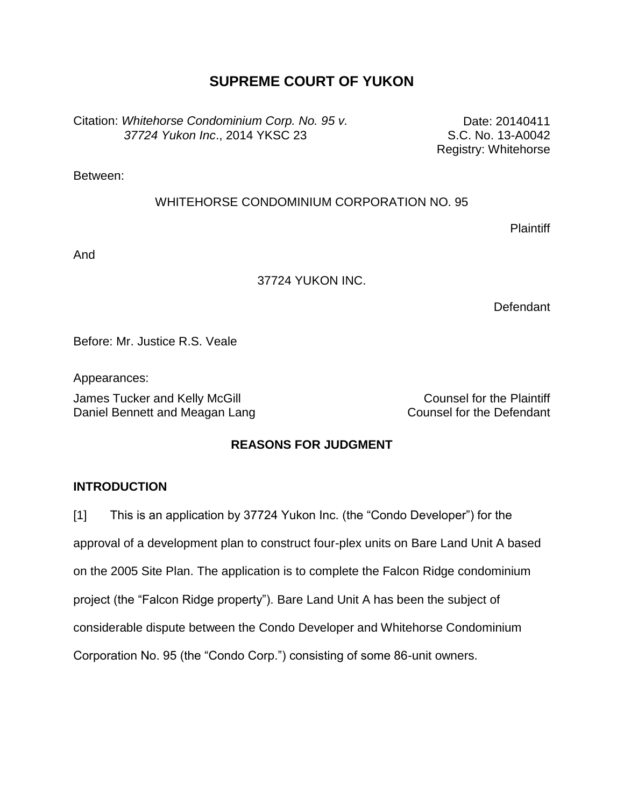# **SUPREME COURT OF YUKON**

Citation: *Whitehorse Condominium Corp. No. 95 v. 37724 Yukon Inc*., 2014 YKSC 23

Date: 20140411 S.C. No. 13-A0042 Registry: Whitehorse

Between:

### WHITEHORSE CONDOMINIUM CORPORATION NO. 95

**Plaintiff** 

And

### 37724 YUKON INC.

Defendant

Before: Mr. Justice R.S. Veale

Appearances:

James Tucker and Kelly McGill **Counsel for the Plaintiff** Daniel Bennett and Meagan Lang Counsel for the Defendant

## **REASONS FOR JUDGMENT**

## **INTRODUCTION**

[1] This is an application by 37724 Yukon Inc. (the "Condo Developer") for the approval of a development plan to construct four-plex units on Bare Land Unit A based on the 2005 Site Plan. The application is to complete the Falcon Ridge condominium project (the "Falcon Ridge property"). Bare Land Unit A has been the subject of considerable dispute between the Condo Developer and Whitehorse Condominium Corporation No. 95 (the "Condo Corp.") consisting of some 86-unit owners.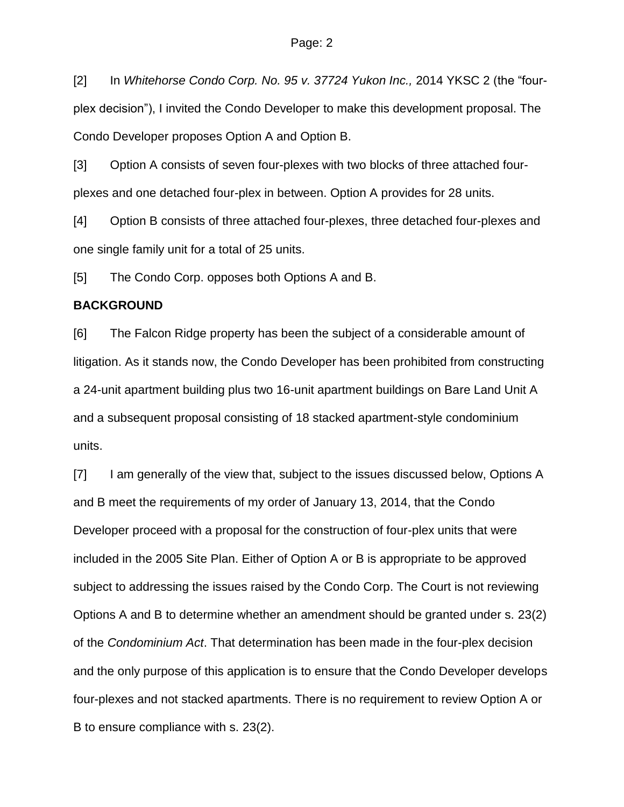[2] In *Whitehorse Condo Corp. No. 95 v. 37724 Yukon Inc.,* 2014 YKSC 2 (the "fourplex decision"), I invited the Condo Developer to make this development proposal. The Condo Developer proposes Option A and Option B.

[3] Option A consists of seven four-plexes with two blocks of three attached fourplexes and one detached four-plex in between. Option A provides for 28 units.

[4] Option B consists of three attached four-plexes, three detached four-plexes and one single family unit for a total of 25 units.

[5] The Condo Corp. opposes both Options A and B.

#### **BACKGROUND**

[6] The Falcon Ridge property has been the subject of a considerable amount of litigation. As it stands now, the Condo Developer has been prohibited from constructing a 24-unit apartment building plus two 16-unit apartment buildings on Bare Land Unit A and a subsequent proposal consisting of 18 stacked apartment-style condominium units.

[7] I am generally of the view that, subject to the issues discussed below, Options A and B meet the requirements of my order of January 13, 2014, that the Condo Developer proceed with a proposal for the construction of four-plex units that were included in the 2005 Site Plan. Either of Option A or B is appropriate to be approved subject to addressing the issues raised by the Condo Corp. The Court is not reviewing Options A and B to determine whether an amendment should be granted under s. 23(2) of the *Condominium Act*. That determination has been made in the four-plex decision and the only purpose of this application is to ensure that the Condo Developer develops four-plexes and not stacked apartments. There is no requirement to review Option A or B to ensure compliance with s. 23(2).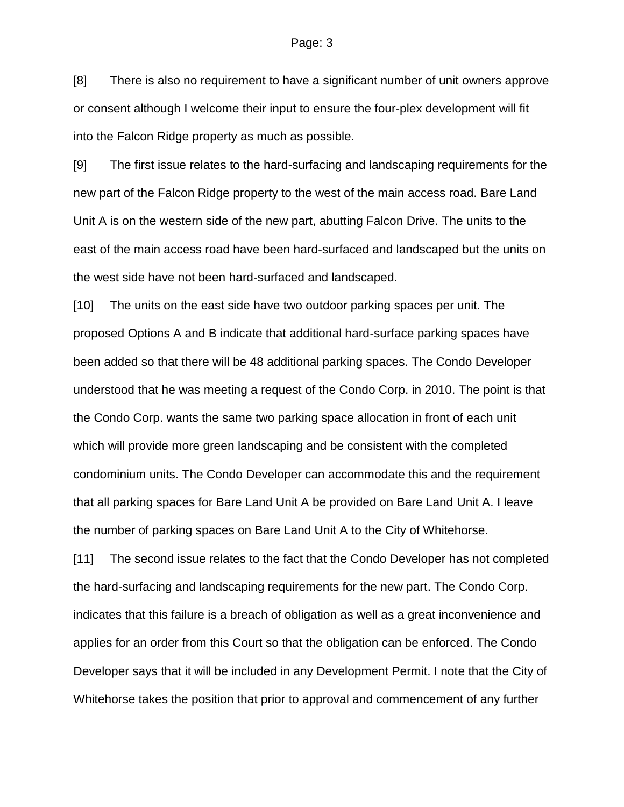#### Page: 3

[8] There is also no requirement to have a significant number of unit owners approve or consent although I welcome their input to ensure the four-plex development will fit into the Falcon Ridge property as much as possible.

[9] The first issue relates to the hard-surfacing and landscaping requirements for the new part of the Falcon Ridge property to the west of the main access road. Bare Land Unit A is on the western side of the new part, abutting Falcon Drive. The units to the east of the main access road have been hard-surfaced and landscaped but the units on the west side have not been hard-surfaced and landscaped.

[10] The units on the east side have two outdoor parking spaces per unit. The proposed Options A and B indicate that additional hard-surface parking spaces have been added so that there will be 48 additional parking spaces. The Condo Developer understood that he was meeting a request of the Condo Corp. in 2010. The point is that the Condo Corp. wants the same two parking space allocation in front of each unit which will provide more green landscaping and be consistent with the completed condominium units. The Condo Developer can accommodate this and the requirement that all parking spaces for Bare Land Unit A be provided on Bare Land Unit A. I leave the number of parking spaces on Bare Land Unit A to the City of Whitehorse.

[11] The second issue relates to the fact that the Condo Developer has not completed the hard-surfacing and landscaping requirements for the new part. The Condo Corp. indicates that this failure is a breach of obligation as well as a great inconvenience and applies for an order from this Court so that the obligation can be enforced. The Condo Developer says that it will be included in any Development Permit. I note that the City of Whitehorse takes the position that prior to approval and commencement of any further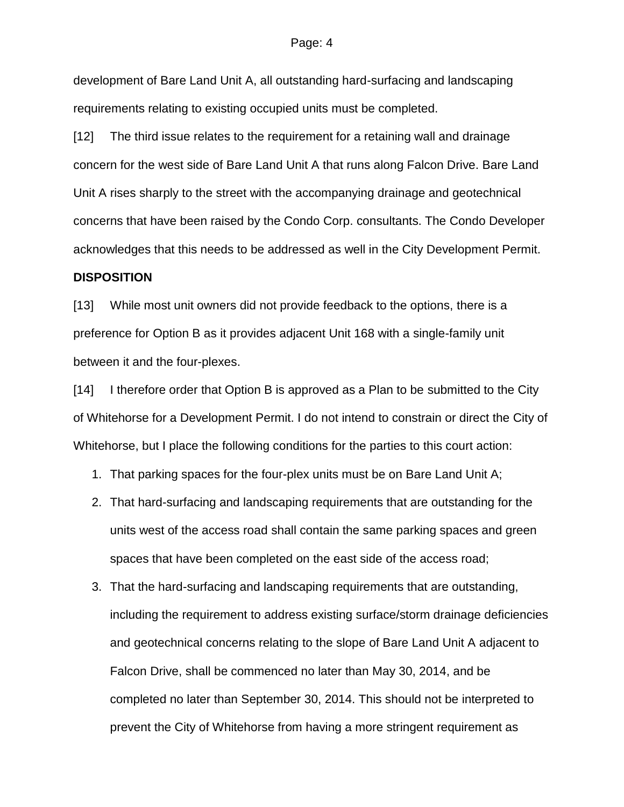#### Page: 4

development of Bare Land Unit A, all outstanding hard-surfacing and landscaping requirements relating to existing occupied units must be completed.

[12] The third issue relates to the requirement for a retaining wall and drainage concern for the west side of Bare Land Unit A that runs along Falcon Drive. Bare Land Unit A rises sharply to the street with the accompanying drainage and geotechnical concerns that have been raised by the Condo Corp. consultants. The Condo Developer acknowledges that this needs to be addressed as well in the City Development Permit.

#### **DISPOSITION**

[13] While most unit owners did not provide feedback to the options, there is a preference for Option B as it provides adjacent Unit 168 with a single-family unit between it and the four-plexes.

[14] I therefore order that Option B is approved as a Plan to be submitted to the City of Whitehorse for a Development Permit. I do not intend to constrain or direct the City of Whitehorse, but I place the following conditions for the parties to this court action:

- 1. That parking spaces for the four-plex units must be on Bare Land Unit A;
- 2. That hard-surfacing and landscaping requirements that are outstanding for the units west of the access road shall contain the same parking spaces and green spaces that have been completed on the east side of the access road;
- 3. That the hard-surfacing and landscaping requirements that are outstanding, including the requirement to address existing surface/storm drainage deficiencies and geotechnical concerns relating to the slope of Bare Land Unit A adjacent to Falcon Drive, shall be commenced no later than May 30, 2014, and be completed no later than September 30, 2014. This should not be interpreted to prevent the City of Whitehorse from having a more stringent requirement as